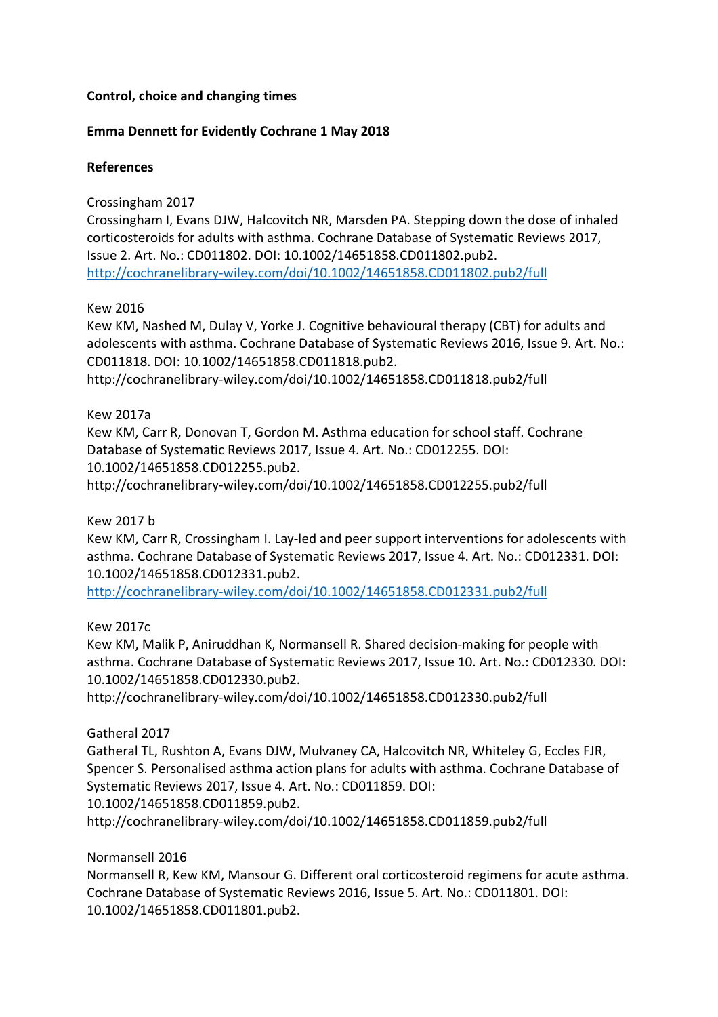# **Control, choice and changing times**

## **Emma Dennett for Evidently Cochrane 1 May 2018**

#### **References**

## Crossingham 2017

Crossingham I, Evans DJW, Halcovitch NR, Marsden PA. Stepping down the dose of inhaled corticosteroids for adults with asthma. Cochrane Database of Systematic Reviews 2017, Issue 2. Art. No.: CD011802. DOI: 10.1002/14651858.CD011802.pub2. http://cochranelibrary-wiley.com/doi/10.1002/14651858.CD011802.pub2/full

## Kew 2016

Kew KM, Nashed M, Dulay V, Yorke J. Cognitive behavioural therapy (CBT) for adults and adolescents with asthma. Cochrane Database of Systematic Reviews 2016, Issue 9. Art. No.: CD011818. DOI: 10.1002/14651858.CD011818.pub2.

http://cochranelibrary-wiley.com/doi/10.1002/14651858.CD011818.pub2/full

## Kew 2017a

Kew KM, Carr R, Donovan T, Gordon M. Asthma education for school staff. Cochrane Database of Systematic Reviews 2017, Issue 4. Art. No.: CD012255. DOI: 10.1002/14651858.CD012255.pub2. http://cochranelibrary-wiley.com/doi/10.1002/14651858.CD012255.pub2/full

#### Kew 2017 b

Kew KM, Carr R, Crossingham I. Lay-led and peer support interventions for adolescents with asthma. Cochrane Database of Systematic Reviews 2017, Issue 4. Art. No.: CD012331. DOI: 10.1002/14651858.CD012331.pub2.

http://cochranelibrary-wiley.com/doi/10.1002/14651858.CD012331.pub2/full

#### Kew 2017c

Kew KM, Malik P, Aniruddhan K, Normansell R. Shared decision-making for people with asthma. Cochrane Database of Systematic Reviews 2017, Issue 10. Art. No.: CD012330. DOI: 10.1002/14651858.CD012330.pub2.

http://cochranelibrary-wiley.com/doi/10.1002/14651858.CD012330.pub2/full

# Gatheral 2017

Gatheral TL, Rushton A, Evans DJW, Mulvaney CA, Halcovitch NR, Whiteley G, Eccles FJR, Spencer S. Personalised asthma action plans for adults with asthma. Cochrane Database of Systematic Reviews 2017, Issue 4. Art. No.: CD011859. DOI:

10.1002/14651858.CD011859.pub2.

http://cochranelibrary-wiley.com/doi/10.1002/14651858.CD011859.pub2/full

#### Normansell 2016

Normansell R, Kew KM, Mansour G. Different oral corticosteroid regimens for acute asthma. Cochrane Database of Systematic Reviews 2016, Issue 5. Art. No.: CD011801. DOI: 10.1002/14651858.CD011801.pub2.